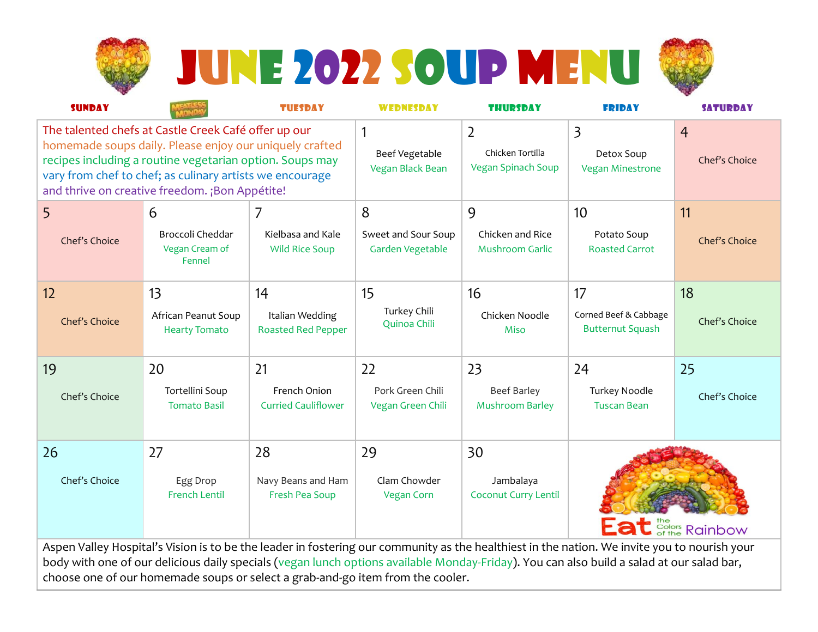

# JUNE 2022 SOUP MENU



| <b>SUNDAY</b>                                                                                                                                                                                                                                                                             |                                              | <b>TUESDAY</b>                               | <b>WEDNESDAY</b>                        | <b>THURSDAY</b>                                          | <b>FRIDAY</b>                                                    | <b>SATURDAY</b>                 |
|-------------------------------------------------------------------------------------------------------------------------------------------------------------------------------------------------------------------------------------------------------------------------------------------|----------------------------------------------|----------------------------------------------|-----------------------------------------|----------------------------------------------------------|------------------------------------------------------------------|---------------------------------|
| The talented chefs at Castle Creek Café offer up our<br>homemade soups daily. Please enjoy our uniquely crafted<br>recipes including a routine vegetarian option. Soups may<br>vary from chef to chef; as culinary artists we encourage<br>and thrive on creative freedom. ¡Bon Appétite! |                                              |                                              | 1<br>Beef Vegetable<br>Vegan Black Bean | $\overline{2}$<br>Chicken Tortilla<br>Vegan Spinach Soup | $\overline{\mathbf{3}}$<br>Detox Soup<br><b>Vegan Minestrone</b> | $\overline{4}$<br>Chef's Choice |
| 5                                                                                                                                                                                                                                                                                         | 6                                            | 7                                            | 8                                       | 9                                                        | 10                                                               | 11                              |
| Chef's Choice                                                                                                                                                                                                                                                                             | Broccoli Cheddar<br>Vegan Cream of<br>Fennel | Kielbasa and Kale<br><b>Wild Rice Soup</b>   | Sweet and Sour Soup<br>Garden Vegetable | Chicken and Rice<br><b>Mushroom Garlic</b>               | Potato Soup<br><b>Roasted Carrot</b>                             | Chef's Choice                   |
| 12                                                                                                                                                                                                                                                                                        | 13                                           | 14                                           | 15                                      | 16                                                       | 17                                                               | 18                              |
| Chef's Choice                                                                                                                                                                                                                                                                             | African Peanut Soup<br><b>Hearty Tomato</b>  | Italian Wedding<br><b>Roasted Red Pepper</b> | Turkey Chili<br>Quinoa Chili            | Chicken Noodle<br><b>Miso</b>                            | Corned Beef & Cabbage<br><b>Butternut Squash</b>                 | Chef's Choice                   |
| 19                                                                                                                                                                                                                                                                                        | 20                                           | 21                                           | 22                                      | 23                                                       | 24                                                               | 25                              |
| Chef's Choice                                                                                                                                                                                                                                                                             | Tortellini Soup<br><b>Tomato Basil</b>       | French Onion<br><b>Curried Cauliflower</b>   | Pork Green Chili<br>Vegan Green Chili   | <b>Beef Barley</b><br><b>Mushroom Barley</b>             | Turkey Noodle<br><b>Tuscan Bean</b>                              | Chef's Choice                   |
| 26                                                                                                                                                                                                                                                                                        | 27                                           | 28                                           | 29                                      | 30                                                       |                                                                  |                                 |
| Chef's Choice                                                                                                                                                                                                                                                                             | Egg Drop<br><b>French Lentil</b>             | Navy Beans and Ham<br>Fresh Pea Soup         | Clam Chowder<br><b>Vegan Corn</b>       | Jambalaya<br><b>Coconut Curry Lentil</b>                 | <b>Eat</b> Scolors Rainbow                                       |                                 |
| Aspen Valley Hospital's Vision is to be the leader in fostering our community as the healthiest in the nation. We invite you to nourish your<br>hody with one of our delicious daily specials (yegan lunch options available Monday-Friday) You can also build a salad at our salad bar   |                                              |                                              |                                         |                                                          |                                                                  |                                 |

body with one of our delicious daily specials (vegan lunch options available Monday-Friday). choose one of our homemade soups or select a grab-and-go item from the cooler.